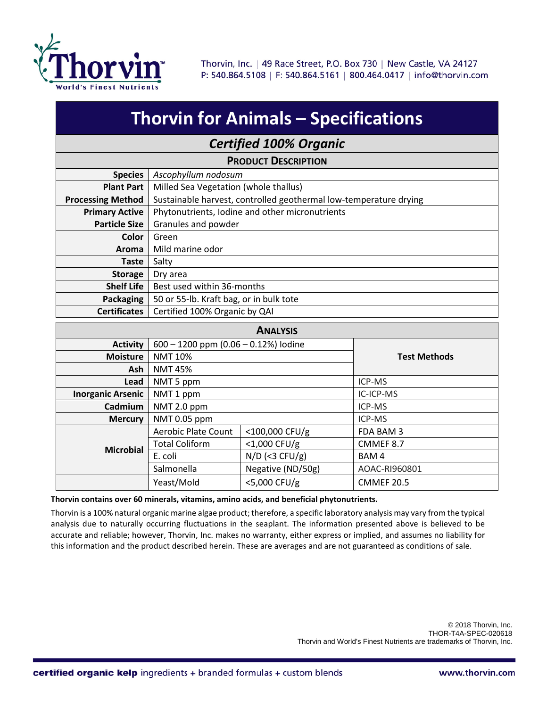

## **Thorvin for Animals – Specifications**

## *Certified 100% Organic*

| <b>PRODUCT DESCRIPTION</b> |                                                                   |  |  |  |  |
|----------------------------|-------------------------------------------------------------------|--|--|--|--|
| <b>Species</b>             | Ascophyllum nodosum                                               |  |  |  |  |
| <b>Plant Part</b>          | Milled Sea Vegetation (whole thallus)                             |  |  |  |  |
| <b>Processing Method</b>   | Sustainable harvest, controlled geothermal low-temperature drying |  |  |  |  |
| <b>Primary Active</b>      | Phytonutrients, Iodine and other micronutrients                   |  |  |  |  |
| <b>Particle Size</b>       | Granules and powder                                               |  |  |  |  |
| Color                      | Green                                                             |  |  |  |  |
| <b>Aroma</b>               | Mild marine odor                                                  |  |  |  |  |
| Taste                      | Salty                                                             |  |  |  |  |
| <b>Storage</b>             | Dry area                                                          |  |  |  |  |
| <b>Shelf Life</b>          | Best used within 36-months                                        |  |  |  |  |
| Packaging                  | 50 or 55-lb. Kraft bag, or in bulk tote                           |  |  |  |  |
| <b>Certificates</b>        | Certified 100% Organic by QAI                                     |  |  |  |  |

| <b>ANALYSIS</b>          |                                          |                   |                     |  |  |  |  |
|--------------------------|------------------------------------------|-------------------|---------------------|--|--|--|--|
| <b>Activity</b>          | $600 - 1200$ ppm $(0.06 - 0.12%)$ lodine |                   |                     |  |  |  |  |
| <b>Moisture</b>          | <b>NMT 10%</b>                           |                   | <b>Test Methods</b> |  |  |  |  |
| Ash                      | <b>NMT 45%</b>                           |                   |                     |  |  |  |  |
| Lead                     | NMT 5 ppm                                |                   | ICP-MS              |  |  |  |  |
| <b>Inorganic Arsenic</b> | NMT 1 ppm                                |                   | IC-ICP-MS           |  |  |  |  |
| <b>Cadmium</b>           | NMT 2.0 ppm                              |                   | ICP-MS              |  |  |  |  |
| <b>Mercury</b>           | NMT 0.05 ppm                             |                   | ICP-MS              |  |  |  |  |
| <b>Microbial</b>         | Aerobic Plate Count                      | <100,000 CFU/g    | FDA BAM 3           |  |  |  |  |
|                          | <b>Total Coliform</b>                    | <1,000 CFU/g      | CMMEF 8.7           |  |  |  |  |
|                          | E. coli                                  | $N/D$ (<3 CFU/g)  | BAM 4               |  |  |  |  |
|                          | Salmonella                               | Negative (ND/50g) | AOAC-RI960801       |  |  |  |  |
|                          | Yeast/Mold                               | <5,000 CFU/g      | <b>CMMEF 20.5</b>   |  |  |  |  |

## **Thorvin contains over 60 minerals, vitamins, amino acids, and beneficial phytonutrients.**

Thorvin is a 100% natural organic marine algae product; therefore, a specific laboratory analysis may vary from the typical analysis due to naturally occurring fluctuations in the seaplant. The information presented above is believed to be accurate and reliable; however, Thorvin, Inc. makes no warranty, either express or implied, and assumes no liability for this information and the product described herein. These are averages and are not guaranteed as conditions of sale.